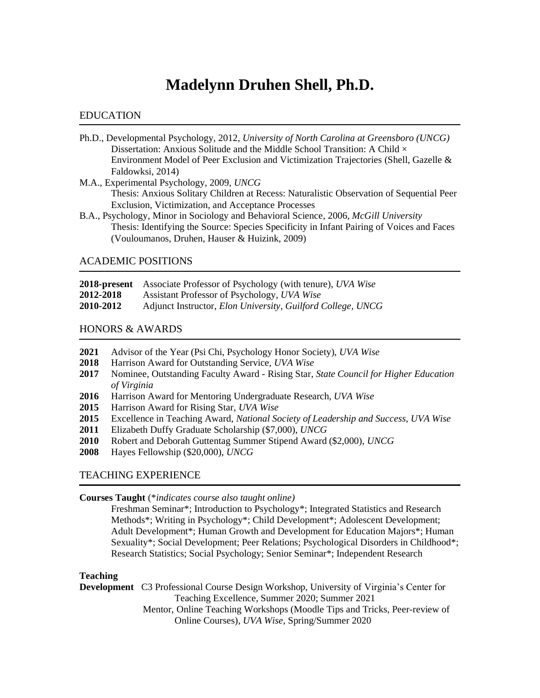# **Madelynn Druhen Shell, Ph.D.**

## EDUCATION

- Ph.D., Developmental Psychology, 2012, *University of North Carolina at Greensboro (UNCG)* Dissertation: Anxious Solitude and the Middle School Transition: A Child  $\times$ Environment Model of Peer Exclusion and Victimization Trajectories (Shell, Gazelle & Faldowksi, 2014)
- M.A., Experimental Psychology, 2009, *UNCG* Thesis: Anxious Solitary Children at Recess: Naturalistic Observation of Sequential Peer Exclusion, Victimization, and Acceptance Processes
- B.A., Psychology, Minor in Sociology and Behavioral Science, 2006, *McGill University* Thesis: Identifying the Source: Species Specificity in Infant Pairing of Voices and Faces (Vouloumanos, Druhen, Hauser & Huizink, 2009)

#### ACADEMIC POSITIONS

| 2018-present | Associate Professor of Psychology (with tenure), UVA Wise                  |
|--------------|----------------------------------------------------------------------------|
| 2012-2018    | Assistant Professor of Psychology, UVA Wise                                |
| 2010-2012    | Adjunct Instructor, <i>Elon University</i> , <i>Guilford College, UNCG</i> |

## HONORS & AWARDS

- **2021** Advisor of the Year (Psi Chi, Psychology Honor Society), *UVA Wise*
- **2018** Harrison Award for Outstanding Service, *UVA Wise*
- **2017** Nominee, Outstanding Faculty Award Rising Star, *State Council for Higher Education of Virginia*
- **2016** Harrison Award for Mentoring Undergraduate Research, *UVA Wise*
- **2015** Harrison Award for Rising Star, *UVA Wise*
- **2015** Excellence in Teaching Award, *National Society of Leadership and Success, UVA Wise*
- **2011** Elizabeth Duffy Graduate Scholarship (\$7,000), *UNCG*
- **2010** Robert and Deborah Guttentag Summer Stipend Award (\$2,000), *UNCG*
- **2008** Hayes Fellowship (\$20,000), *UNCG*

## TEACHING EXPERIENCE

#### **Courses Taught** (\**indicates course also taught online)*

Freshman Seminar\*; Introduction to Psychology\*; Integrated Statistics and Research Methods\*; Writing in Psychology\*; Child Development\*; Adolescent Development; Adult Development\*; Human Growth and Development for Education Majors\*; Human Sexuality\*; Social Development; Peer Relations; Psychological Disorders in Childhood\*; Research Statistics; Social Psychology; Senior Seminar\*; Independent Research

#### **Teaching**

**Development** C3 Professional Course Design Workshop, University of Virginia's Center for Teaching Excellence, Summer 2020; Summer 2021 Mentor, Online Teaching Workshops (Moodle Tips and Tricks, Peer-review of Online Courses), *UVA Wise,* Spring/Summer 2020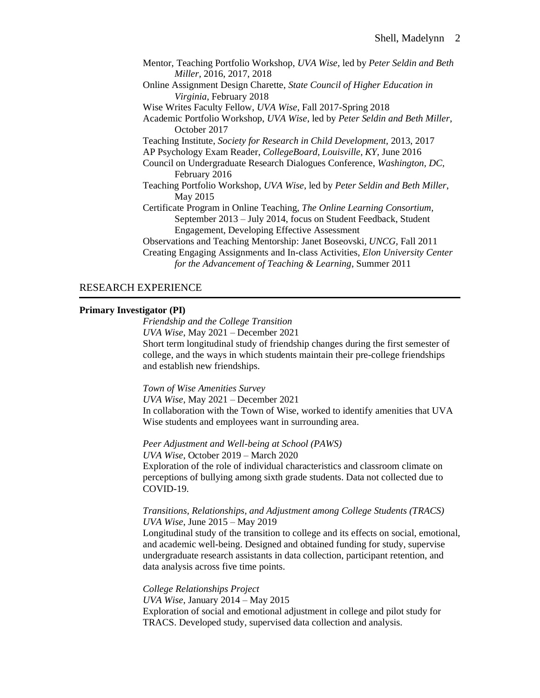Mentor, Teaching Portfolio Workshop, *UVA Wise,* led by *Peter Seldin and Beth Miller,* 2016, 2017, 2018 Online Assignment Design Charette, *State Council of Higher Education in Virginia*, February 2018 Wise Writes Faculty Fellow, *UVA Wise*, Fall 2017-Spring 2018 Academic Portfolio Workshop, *UVA Wise*, led by *Peter Seldin and Beth Miller*, October 2017 Teaching Institute, *Society for Research in Child Development,* 2013, 2017 AP Psychology Exam Reader, *CollegeBoard, Louisville, KY,* June 2016 Council on Undergraduate Research Dialogues Conference, *Washington, DC,* February 2016 Teaching Portfolio Workshop, *UVA Wise*, led by *Peter Seldin and Beth Miller*, May 2015 Certificate Program in Online Teaching, *The Online Learning Consortium,* September 2013 – July 2014, focus on Student Feedback, Student Engagement, Developing Effective Assessment Observations and Teaching Mentorship: Janet Boseovski, *UNCG,* Fall 2011 Creating Engaging Assignments and In-class Activities, *Elon University Center for the Advancement of Teaching & Learning*, Summer 2011

#### RESEARCH EXPERIENCE

#### **Primary Investigator (PI)**

*Friendship and the College Transition UVA Wise*, May 2021 – December 2021 Short term longitudinal study of friendship changes during the first semester of college, and the ways in which students maintain their pre-college friendships and establish new friendships.

#### *Town of Wise Amenities Survey*

*UVA Wise*, May 2021 – December 2021

In collaboration with the Town of Wise, worked to identify amenities that UVA Wise students and employees want in surrounding area.

*Peer Adjustment and Well-being at School (PAWS) UVA Wise*, October 2019 – March 2020 Exploration of the role of individual characteristics and classroom climate on perceptions of bullying among sixth grade students. Data not collected due to COVID-19.

#### *Transitions, Relationships, and Adjustment among College Students (TRACS) UVA Wise*, June 2015 – May 2019

Longitudinal study of the transition to college and its effects on social, emotional, and academic well-being. Designed and obtained funding for study, supervise undergraduate research assistants in data collection, participant retention, and data analysis across five time points.

*College Relationships Project*

*UVA Wise*, January 2014 – May 2015

Exploration of social and emotional adjustment in college and pilot study for TRACS. Developed study, supervised data collection and analysis.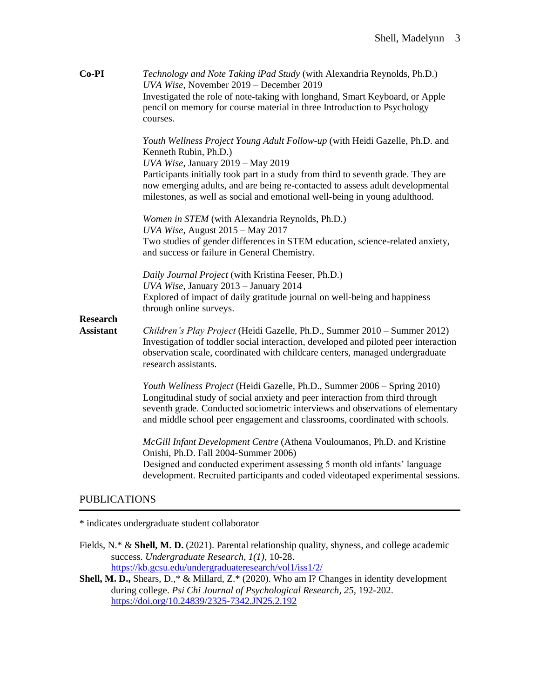**Co-PI** *Technology and Note Taking iPad Study* (with Alexandria Reynolds, Ph.D.) *UVA Wise*, November 2019 – December 2019 Investigated the role of note-taking with longhand, Smart Keyboard, or Apple pencil on memory for course material in three Introduction to Psychology courses.

> *Youth Wellness Project Young Adult Follow-up* (with Heidi Gazelle, Ph.D. and Kenneth Rubin, Ph.D.) *UVA Wise*, January 2019 – May 2019 Participants initially took part in a study from third to seventh grade. They are now emerging adults, and are being re-contacted to assess adult developmental

milestones, as well as social and emotional well-being in young adulthood.

*Women in STEM* (with Alexandria Reynolds, Ph.D.) *UVA Wise*, August 2015 – May 2017 Two studies of gender differences in STEM education, science-related anxiety, and success or failure in General Chemistry.

*Daily Journal Project* (with Kristina Feeser, Ph.D.) *UVA Wise*, January 2013 – January 2014 Explored of impact of daily gratitude journal on well-being and happiness through online surveys.

# **Research**

**Assistant** *Children's Play Project* (Heidi Gazelle, Ph.D., Summer 2010 – Summer 2012) Investigation of toddler social interaction, developed and piloted peer interaction observation scale, coordinated with childcare centers, managed undergraduate research assistants.

> *Youth Wellness Project* (Heidi Gazelle, Ph.D., Summer 2006 – Spring 2010) Longitudinal study of social anxiety and peer interaction from third through seventh grade. Conducted sociometric interviews and observations of elementary and middle school peer engagement and classrooms, coordinated with schools.

> *McGill Infant Development Centre* (Athena Vouloumanos, Ph.D. and Kristine Onishi, Ph.D. Fall 2004-Summer 2006) Designed and conducted experiment assessing 5 month old infants' language development. Recruited participants and coded videotaped experimental sessions.

# PUBLICATIONS

\* indicates undergraduate student collaborator

Fields, N.\* & **Shell, M. D.** (2021). Parental relationship quality, shyness, and college academic success. *Undergraduate Research, 1(1),* 10-28. <https://kb.gcsu.edu/undergraduateresearch/vol1/iss1/2/>

**Shell, M. D.,** Shears, D.,\* & Millard, Z.\* (2020). Who am I? Changes in identity development during college. *Psi Chi Journal of Psychological Research, 25,* 192-202. <https://doi.org/10.24839/2325-7342.JN25.2.192>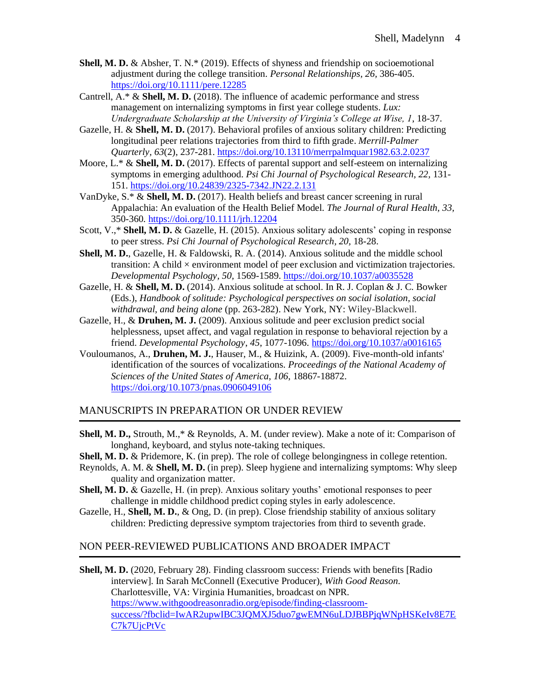- **Shell, M. D.** & Absher, T. N.\* (2019). Effects of shyness and friendship on socioemotional adjustment during the college transition. *Personal Relationships, 26,* 386-405. <https://doi.org/10.1111/pere.12285>
- Cantrell, A.\* & **Shell, M. D.** (2018). The influence of academic performance and stress management on internalizing symptoms in first year college students. *Lux: Undergraduate Scholarship at the University of Virginia's College at Wise, 1*, 18-37.
- Gazelle, H. & **Shell, M. D.** (2017). Behavioral profiles of anxious solitary children: Predicting longitudinal peer relations trajectories from third to fifth grade. *Merrill-Palmer Quarterly, 63*(2), 237-281. <https://doi.org/10.13110/merrpalmquar1982.63.2.0237>
- Moore, L.\* & **Shell, M. D.** (2017). Effects of parental support and self-esteem on internalizing symptoms in emerging adulthood. *Psi Chi Journal of Psychological Research, 22,* 131- 151. <https://doi.org/10.24839/2325-7342.JN22.2.131>
- VanDyke, S.\* & **Shell, M. D.** (2017). Health beliefs and breast cancer screening in rural Appalachia: An evaluation of the Health Belief Model. *The Journal of Rural Health, 33,* 350-360*.* <https://doi.org/10.1111/jrh.12204>
- Scott, V.,\* **Shell, M. D.** & Gazelle, H. (2015). Anxious solitary adolescents' coping in response to peer stress. *Psi Chi Journal of Psychological Research, 20,* 18-28.
- **Shell, M. D.**, Gazelle, H. & Faldowski, R. A. (2014). Anxious solitude and the middle school transition: A child  $\times$  environment model of peer exclusion and victimization trajectories. *Developmental Psychology, 50,* 1569-1589. <https://doi.org/10.1037/a0035528>
- Gazelle, H. & **Shell, M. D.** (2014). Anxious solitude at school. In R. J. Coplan & J. C. Bowker (Eds.), *Handbook of solitude: Psychological perspectives on social isolation, social withdrawal, and being alone* (pp. 263-282). New York, NY: Wiley-Blackwell.
- Gazelle, H., & **Druhen, M. J.** (2009). Anxious solitude and peer exclusion predict social helplessness, upset affect, and vagal regulation in response to behavioral rejection by a friend. *Developmental Psychology*, *45*, 1077-1096. <https://doi.org/10.1037/a0016165>
- Vouloumanos, A., **Druhen, M. J.**, Hauser, M., & Huizink, A. (2009). Five-month-old infants' identification of the sources of vocalizations. *Proceedings of the National Academy of Sciences of the United States of America*, *106*, 18867-18872. <https://doi.org/10.1073/pnas.0906049106>

## MANUSCRIPTS IN PREPARATION OR UNDER REVIEW

- **Shell, M. D.,** Strouth, M.,\* & Reynolds, A. M. (under review). Make a note of it: Comparison of longhand, keyboard, and stylus note-taking techniques.
- **Shell, M. D.** & Pridemore, K. (in prep). The role of college belongingness in college retention.
- Reynolds, A. M. & **Shell, M. D.** (in prep). Sleep hygiene and internalizing symptoms: Why sleep quality and organization matter.
- **Shell, M. D.** & Gazelle, H. (in prep). Anxious solitary youths' emotional responses to peer challenge in middle childhood predict coping styles in early adolescence.
- Gazelle, H., **Shell, M. D.**, & Ong, D. (in prep). Close friendship stability of anxious solitary children: Predicting depressive symptom trajectories from third to seventh grade.

## NON PEER-REVIEWED PUBLICATIONS AND BROADER IMPACT

**Shell, M. D.** (2020, February 28). Finding classroom success: Friends with benefits [Radio] interview]. In Sarah McConnell (Executive Producer), *With Good Reason*. Charlottesville, VA: Virginia Humanities, broadcast on NPR. [https://www.withgoodreasonradio.org/episode/finding-classroom](https://www.withgoodreasonradio.org/episode/finding-classroom-success/?fbclid=IwAR2upwIBC3JQMXJ5duo7gwEMN6uLDJBBPjqWNpHSKeIv8E7EC7k7UjcPtVc)[success/?fbclid=IwAR2upwIBC3JQMXJ5duo7gwEMN6uLDJBBPjqWNpHSKeIv8E7E](https://www.withgoodreasonradio.org/episode/finding-classroom-success/?fbclid=IwAR2upwIBC3JQMXJ5duo7gwEMN6uLDJBBPjqWNpHSKeIv8E7EC7k7UjcPtVc) [C7k7UjcPtVc](https://www.withgoodreasonradio.org/episode/finding-classroom-success/?fbclid=IwAR2upwIBC3JQMXJ5duo7gwEMN6uLDJBBPjqWNpHSKeIv8E7EC7k7UjcPtVc)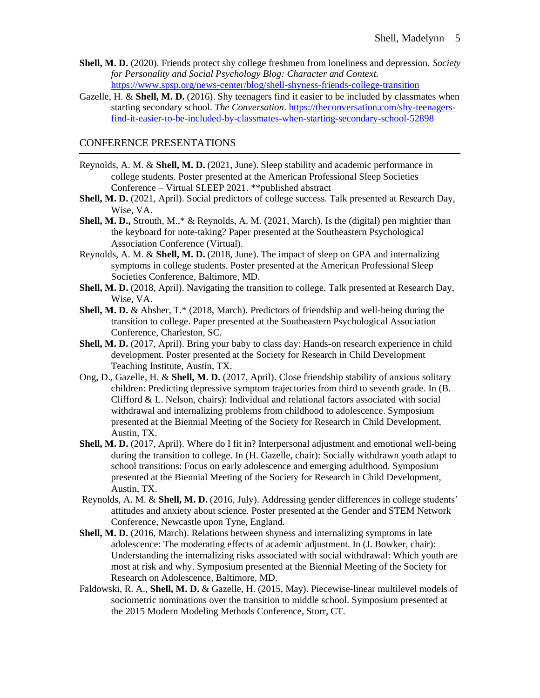- **Shell, M. D.** (2020). Friends protect shy college freshmen from loneliness and depression. *Society for Personality and Social Psychology Blog: Character and Context.* <https://www.spsp.org/news-center/blog/shell-shyness-friends-college-transition>
- Gazelle, H. & **Shell, M. D.** (2016). Shy teenagers find it easier to be included by classmates when starting secondary school. *The Conversation*. [https://theconversation.com/shy-teenagers](https://theconversation.com/shy-teenagers-find-it-easier-to-be-included-by-classmates-when-starting-secondary-school-52898)[find-it-easier-to-be-included-by-classmates-when-starting-secondary-school-52898](https://theconversation.com/shy-teenagers-find-it-easier-to-be-included-by-classmates-when-starting-secondary-school-52898)

## CONFERENCE PRESENTATIONS

- Reynolds, A. M. & **Shell, M. D.** (2021, June). Sleep stability and academic performance in college students. Poster presented at the American Professional Sleep Societies Conference – Virtual SLEEP 2021. \*\*published abstract
- **Shell, M. D.** (2021, April). Social predictors of college success. Talk presented at Research Day, Wise, VA.
- **Shell, M. D.,** Strouth, M.,\* & Reynolds, A. M. (2021, March). Is the (digital) pen mightier than the keyboard for note-taking? Paper presented at the Southeastern Psychological Association Conference (Virtual).
- Reynolds, A. M. & **Shell, M. D.** (2018, June). The impact of sleep on GPA and internalizing symptoms in college students. Poster presented at the American Professional Sleep Societies Conference, Baltimore, MD.
- **Shell, M. D.** (2018, April). Navigating the transition to college. Talk presented at Research Day, Wise, VA.
- **Shell, M. D.** & Absher, T.\* (2018, March). Predictors of friendship and well-being during the transition to college. Paper presented at the Southeastern Psychological Association Conference, Charleston, SC.
- **Shell, M. D.** (2017, April). Bring your baby to class day: Hands-on research experience in child development. Poster presented at the Society for Research in Child Development Teaching Institute, Austin, TX.
- Ong, D., Gazelle, H. & **Shell, M. D.** (2017, April). Close friendship stability of anxious solitary children: Predicting depressive symptom trajectories from third to seventh grade. In (B. Clifford & L. Nelson, chairs): Individual and relational factors associated with social withdrawal and internalizing problems from childhood to adolescence. Symposium presented at the Biennial Meeting of the Society for Research in Child Development, Austin, TX.
- **Shell, M. D.** (2017, April). Where do I fit in? Interpersonal adjustment and emotional well-being during the transition to college. In (H. Gazelle, chair): Socially withdrawn youth adapt to school transitions: Focus on early adolescence and emerging adulthood. Symposium presented at the Biennial Meeting of the Society for Research in Child Development, Austin, TX.
- Reynolds, A. M. & **Shell, M. D.** (2016, July). Addressing gender differences in college students' attitudes and anxiety about science. Poster presented at the Gender and STEM Network Conference, Newcastle upon Tyne, England.
- **Shell, M. D.** (2016, March). Relations between shyness and internalizing symptoms in late adolescence: The moderating effects of academic adjustment. In (J. Bowker, chair): Understanding the internalizing risks associated with social withdrawal: Which youth are most at risk and why. Symposium presented at the Biennial Meeting of the Society for Research on Adolescence, Baltimore, MD.
- Faldowski, R. A., **Shell, M. D.** & Gazelle, H. (2015, May). Piecewise-linear multilevel models of sociometric nominations over the transition to middle school. Symposium presented at the 2015 Modern Modeling Methods Conference, Storr, CT.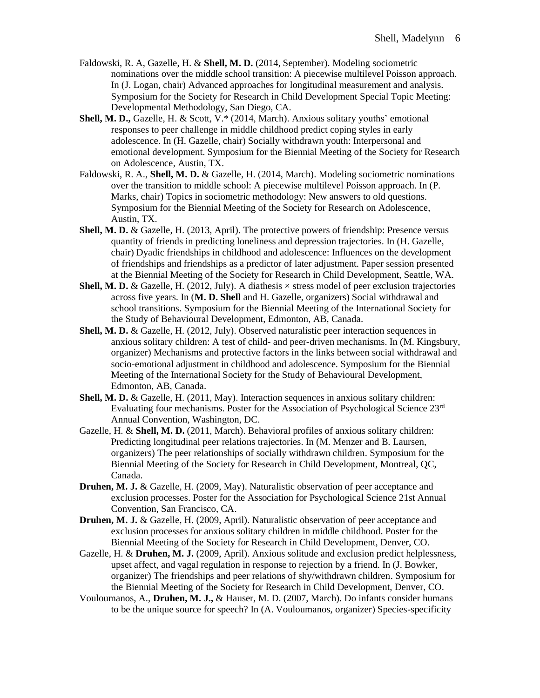- Faldowski, R. A, Gazelle, H. & **Shell, M. D.** (2014, September). Modeling sociometric nominations over the middle school transition: A piecewise multilevel Poisson approach. In (J. Logan, chair) Advanced approaches for longitudinal measurement and analysis. Symposium for the Society for Research in Child Development Special Topic Meeting: Developmental Methodology, San Diego, CA.
- **Shell, M. D.,** Gazelle, H. & Scott, V.\* (2014, March). Anxious solitary youths' emotional responses to peer challenge in middle childhood predict coping styles in early adolescence. In (H. Gazelle, chair) Socially withdrawn youth: Interpersonal and emotional development. Symposium for the Biennial Meeting of the Society for Research on Adolescence, Austin, TX.
- Faldowski, R. A., **Shell, M. D.** & Gazelle, H. (2014, March). Modeling sociometric nominations over the transition to middle school: A piecewise multilevel Poisson approach. In (P. Marks, chair) Topics in sociometric methodology: New answers to old questions. Symposium for the Biennial Meeting of the Society for Research on Adolescence, Austin, TX.
- **Shell, M. D.** & Gazelle, H. (2013, April). The protective powers of friendship: Presence versus quantity of friends in predicting loneliness and depression trajectories. In (H. Gazelle, chair) Dyadic friendships in childhood and adolescence: Influences on the development of friendships and friendships as a predictor of later adjustment. Paper session presented at the Biennial Meeting of the Society for Research in Child Development, Seattle, WA.
- **Shell, M. D.** & Gazelle, H. (2012, July). A diathesis  $\times$  stress model of peer exclusion trajectories across five years. In (**M. D. Shell** and H. Gazelle, organizers) Social withdrawal and school transitions. Symposium for the Biennial Meeting of the International Society for the Study of Behavioural Development, Edmonton, AB, Canada.
- **Shell, M. D.** & Gazelle, H. (2012, July). Observed naturalistic peer interaction sequences in anxious solitary children: A test of child- and peer-driven mechanisms. In (M. Kingsbury, organizer) Mechanisms and protective factors in the links between social withdrawal and socio-emotional adjustment in childhood and adolescence. Symposium for the Biennial Meeting of the International Society for the Study of Behavioural Development, Edmonton, AB, Canada.
- **Shell, M. D.** & Gazelle, H. (2011, May). Interaction sequences in anxious solitary children: Evaluating four mechanisms. Poster for the Association of Psychological Science 23rd Annual Convention, Washington, DC.
- Gazelle, H. & **Shell, M. D.** (2011, March). Behavioral profiles of anxious solitary children: Predicting longitudinal peer relations trajectories. In (M. Menzer and B. Laursen, organizers) The peer relationships of socially withdrawn children. Symposium for the Biennial Meeting of the Society for Research in Child Development, Montreal, QC, Canada.
- **Druhen, M. J.** & Gazelle, H. (2009, May). Naturalistic observation of peer acceptance and exclusion processes. Poster for the Association for Psychological Science 21st Annual Convention, San Francisco, CA.
- **Druhen, M. J.** & Gazelle, H. (2009, April). Naturalistic observation of peer acceptance and exclusion processes for anxious solitary children in middle childhood. Poster for the Biennial Meeting of the Society for Research in Child Development, Denver, CO.
- Gazelle, H. & **Druhen, M. J.** (2009, April). Anxious solitude and exclusion predict helplessness, upset affect, and vagal regulation in response to rejection by a friend. In (J. Bowker, organizer) The friendships and peer relations of shy/withdrawn children. Symposium for the Biennial Meeting of the Society for Research in Child Development, Denver, CO.
- Vouloumanos, A., **Druhen, M. J.,** & Hauser, M. D. (2007, March). Do infants consider humans to be the unique source for speech? In (A. Vouloumanos, organizer) Species-specificity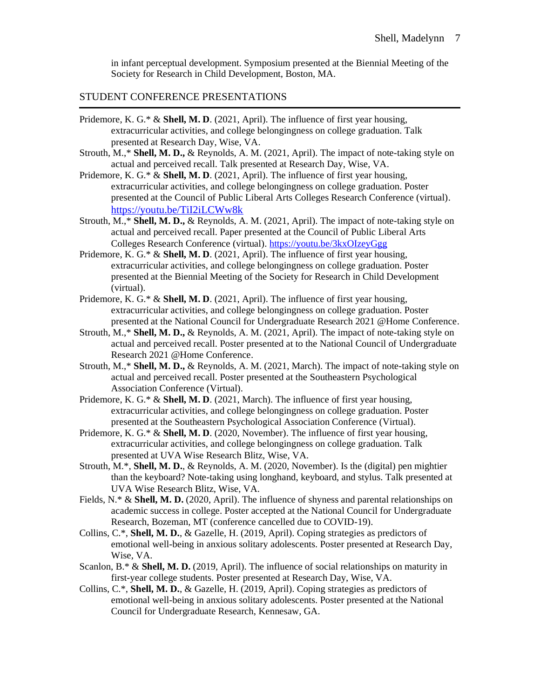in infant perceptual development. Symposium presented at the Biennial Meeting of the Society for Research in Child Development, Boston, MA.

## STUDENT CONFERENCE PRESENTATIONS

- Pridemore, K. G.\* & **Shell, M. D**. (2021, April). The influence of first year housing, extracurricular activities, and college belongingness on college graduation. Talk presented at Research Day, Wise, VA.
- Strouth, M.,\* **Shell, M. D.,** & Reynolds, A. M. (2021, April). The impact of note-taking style on actual and perceived recall. Talk presented at Research Day, Wise, VA.
- Pridemore, K. G.\* & **Shell, M. D**. (2021, April). The influence of first year housing, extracurricular activities, and college belongingness on college graduation. Poster presented at the Council of Public Liberal Arts Colleges Research Conference (virtual). <https://youtu.be/TiI2iLCWw8k>
- Strouth, M.,\* **Shell, M. D.,** & Reynolds, A. M. (2021, April). The impact of note-taking style on actual and perceived recall. Paper presented at the Council of Public Liberal Arts Colleges Research Conference (virtual). <https://youtu.be/3kxOIzeyGgg>
- Pridemore, K. G.\* & **Shell, M. D**. (2021, April). The influence of first year housing, extracurricular activities, and college belongingness on college graduation. Poster presented at the Biennial Meeting of the Society for Research in Child Development (virtual).
- Pridemore, K. G.\* & **Shell, M. D**. (2021, April). The influence of first year housing, extracurricular activities, and college belongingness on college graduation. Poster presented at the National Council for Undergraduate Research 2021 @Home Conference.
- Strouth, M.,\* **Shell, M. D.,** & Reynolds, A. M. (2021, April). The impact of note-taking style on actual and perceived recall. Poster presented at to the National Council of Undergraduate Research 2021 @Home Conference.
- Strouth, M.,\* **Shell, M. D.,** & Reynolds, A. M. (2021, March). The impact of note-taking style on actual and perceived recall. Poster presented at the Southeastern Psychological Association Conference (Virtual).
- Pridemore, K. G.\* & **Shell, M. D**. (2021, March). The influence of first year housing, extracurricular activities, and college belongingness on college graduation. Poster presented at the Southeastern Psychological Association Conference (Virtual).
- Pridemore, K. G.\* & **Shell, M. D**. (2020, November). The influence of first year housing, extracurricular activities, and college belongingness on college graduation. Talk presented at UVA Wise Research Blitz, Wise, VA.
- Strouth, M.\*, **Shell, M. D.**, & Reynolds, A. M. (2020, November). Is the (digital) pen mightier than the keyboard? Note-taking using longhand, keyboard, and stylus. Talk presented at UVA Wise Research Blitz, Wise, VA.
- Fields, N.\* & **Shell, M. D.** (2020, April). The influence of shyness and parental relationships on academic success in college. Poster accepted at the National Council for Undergraduate Research, Bozeman, MT (conference cancelled due to COVID-19).
- Collins, C.\*, **Shell, M. D.**, & Gazelle, H. (2019, April). Coping strategies as predictors of emotional well-being in anxious solitary adolescents. Poster presented at Research Day, Wise, VA.
- Scanlon, B.\* & **Shell, M. D.** (2019, April). The influence of social relationships on maturity in first-year college students. Poster presented at Research Day, Wise, VA.
- Collins, C.\*, **Shell, M. D.**, & Gazelle, H. (2019, April). Coping strategies as predictors of emotional well-being in anxious solitary adolescents. Poster presented at the National Council for Undergraduate Research, Kennesaw, GA.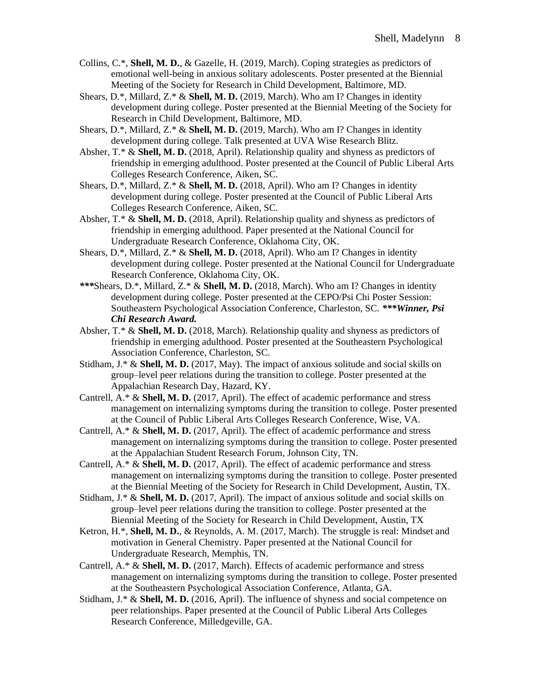- Collins, C.\*, **Shell, M. D.**, & Gazelle, H. (2019, March). Coping strategies as predictors of emotional well-being in anxious solitary adolescents. Poster presented at the Biennial Meeting of the Society for Research in Child Development, Baltimore, MD.
- Shears, D.\*, Millard, Z.\* & **Shell, M. D.** (2019, March). Who am I? Changes in identity development during college. Poster presented at the Biennial Meeting of the Society for Research in Child Development, Baltimore, MD.
- Shears, D.\*, Millard, Z.\* & **Shell, M. D.** (2019, March). Who am I? Changes in identity development during college. Talk presented at UVA Wise Research Blitz.
- Absher, T.\* & **Shell, M. D.** (2018, April). Relationship quality and shyness as predictors of friendship in emerging adulthood. Poster presented at the Council of Public Liberal Arts Colleges Research Conference, Aiken, SC.
- Shears, D.\*, Millard, Z.\* & **Shell, M. D.** (2018, April). Who am I? Changes in identity development during college. Poster presented at the Council of Public Liberal Arts Colleges Research Conference, Aiken, SC.
- Absher, T.\* & **Shell, M. D.** (2018, April). Relationship quality and shyness as predictors of friendship in emerging adulthood. Paper presented at the National Council for Undergraduate Research Conference, Oklahoma City, OK.
- Shears, D.\*, Millard, Z.\* & **Shell, M. D.** (2018, April). Who am I? Changes in identity development during college. Poster presented at the National Council for Undergraduate Research Conference, Oklahoma City, OK.
- *\*\*\**Shears, D.\*, Millard, Z.\* & **Shell, M. D.** (2018, March). Who am I? Changes in identity development during college. Poster presented at the CEPO/Psi Chi Poster Session: Southeastern Psychological Association Conference, Charleston, SC. *\*\*\*Winner, Psi Chi Research Award.*
- Absher, T.\* & **Shell, M. D.** (2018, March). Relationship quality and shyness as predictors of friendship in emerging adulthood. Poster presented at the Southeastern Psychological Association Conference, Charleston, SC.
- Stidham, J.\* & **Shell, M. D.** (2017, May). The impact of anxious solitude and social skills on group–level peer relations during the transition to college. Poster presented at the Appalachian Research Day, Hazard, KY.
- Cantrell, A.\* & **Shell, M. D.** (2017, April). The effect of academic performance and stress management on internalizing symptoms during the transition to college. Poster presented at the Council of Public Liberal Arts Colleges Research Conference, Wise, VA.
- Cantrell, A.\* & **Shell, M. D.** (2017, April). The effect of academic performance and stress management on internalizing symptoms during the transition to college. Poster presented at the Appalachian Student Research Forum, Johnson City, TN.
- Cantrell, A.\* & **Shell, M. D.** (2017, April). The effect of academic performance and stress management on internalizing symptoms during the transition to college. Poster presented at the Biennial Meeting of the Society for Research in Child Development, Austin, TX.
- Stidham, J.\* & **Shell, M. D.** (2017, April). The impact of anxious solitude and social skills on group–level peer relations during the transition to college. Poster presented at the Biennial Meeting of the Society for Research in Child Development, Austin, TX
- Ketron, H.\*, **Shell, M. D.**, & Reynolds, A. M. (2017, March). The struggle is real: Mindset and motivation in General Chemistry. Paper presented at the National Council for Undergraduate Research, Memphis, TN.
- Cantrell, A.\* & **Shell, M. D.** (2017, March). Effects of academic performance and stress management on internalizing symptoms during the transition to college. Poster presented at the Southeastern Psychological Association Conference, Atlanta, GA.
- Stidham, J.\* & **Shell, M. D.** (2016, April). The influence of shyness and social competence on peer relationships. Paper presented at the Council of Public Liberal Arts Colleges Research Conference, Milledgeville, GA.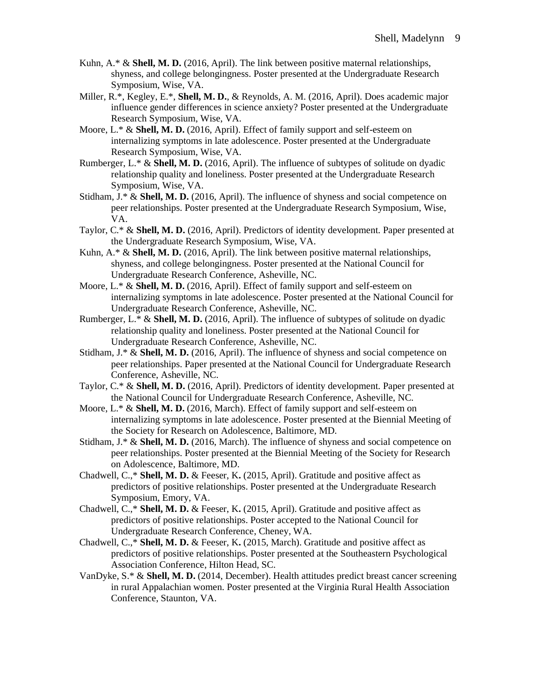- Kuhn, A.\* & **Shell, M. D.** (2016, April). The link between positive maternal relationships, shyness, and college belongingness. Poster presented at the Undergraduate Research Symposium, Wise, VA.
- Miller, R.\*, Kegley, E.\*, **Shell, M. D.**, & Reynolds, A. M. (2016, April). Does academic major influence gender differences in science anxiety? Poster presented at the Undergraduate Research Symposium, Wise, VA.
- Moore, L.\* & **Shell, M. D.** (2016, April). Effect of family support and self-esteem on internalizing symptoms in late adolescence. Poster presented at the Undergraduate Research Symposium, Wise, VA.
- Rumberger, L.\* & **Shell, M. D.** (2016, April). The influence of subtypes of solitude on dyadic relationship quality and loneliness. Poster presented at the Undergraduate Research Symposium, Wise, VA.
- Stidham, J.\* & **Shell, M. D.** (2016, April). The influence of shyness and social competence on peer relationships. Poster presented at the Undergraduate Research Symposium, Wise, VA.
- Taylor, C.\* & **Shell, M. D.** (2016, April). Predictors of identity development. Paper presented at the Undergraduate Research Symposium, Wise, VA.
- Kuhn, A.\* & **Shell, M. D.** (2016, April). The link between positive maternal relationships, shyness, and college belongingness. Poster presented at the National Council for Undergraduate Research Conference, Asheville, NC.
- Moore, L.\* & **Shell, M. D.** (2016, April). Effect of family support and self-esteem on internalizing symptoms in late adolescence. Poster presented at the National Council for Undergraduate Research Conference, Asheville, NC.
- Rumberger, L.\* & **Shell, M. D.** (2016, April). The influence of subtypes of solitude on dyadic relationship quality and loneliness. Poster presented at the National Council for Undergraduate Research Conference, Asheville, NC.
- Stidham, J.\* & **Shell, M. D.** (2016, April). The influence of shyness and social competence on peer relationships. Paper presented at the National Council for Undergraduate Research Conference, Asheville, NC.
- Taylor, C.\* & **Shell, M. D.** (2016, April). Predictors of identity development. Paper presented at the National Council for Undergraduate Research Conference, Asheville, NC.
- Moore, L.\* & **Shell, M. D.** (2016, March). Effect of family support and self-esteem on internalizing symptoms in late adolescence. Poster presented at the Biennial Meeting of the Society for Research on Adolescence, Baltimore, MD.
- Stidham, J.\* & **Shell, M. D.** (2016, March). The influence of shyness and social competence on peer relationships. Poster presented at the Biennial Meeting of the Society for Research on Adolescence, Baltimore, MD.
- Chadwell, C.,\* **Shell, M. D.** & Feeser, K**.** (2015, April). Gratitude and positive affect as predictors of positive relationships. Poster presented at the Undergraduate Research Symposium, Emory, VA.
- Chadwell, C.,\* **Shell, M. D.** & Feeser, K**.** (2015, April). Gratitude and positive affect as predictors of positive relationships. Poster accepted to the National Council for Undergraduate Research Conference, Cheney, WA.
- Chadwell, C.,\* **Shell, M. D.** & Feeser, K**.** (2015, March). Gratitude and positive affect as predictors of positive relationships. Poster presented at the Southeastern Psychological Association Conference, Hilton Head, SC.
- VanDyke, S.\* & **Shell, M. D.** (2014, December). Health attitudes predict breast cancer screening in rural Appalachian women. Poster presented at the Virginia Rural Health Association Conference, Staunton, VA.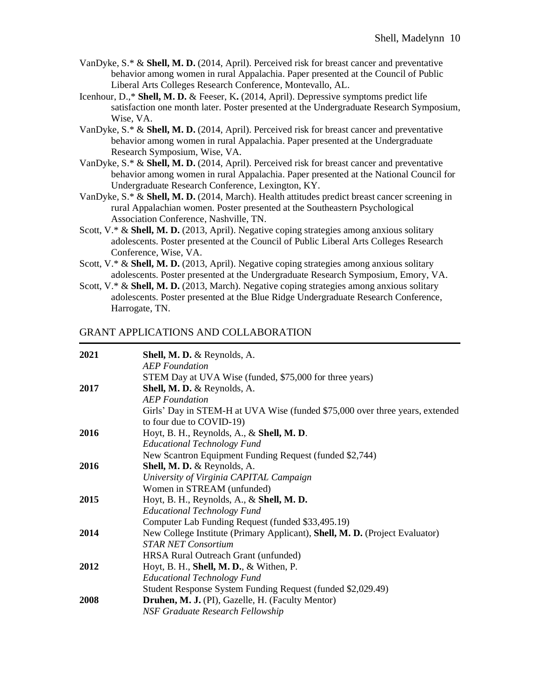- VanDyke, S.\* & **Shell, M. D.** (2014, April). Perceived risk for breast cancer and preventative behavior among women in rural Appalachia. Paper presented at the Council of Public Liberal Arts Colleges Research Conference, Montevallo, AL.
- Icenhour, D.,\* **Shell, M. D.** & Feeser, K**.** (2014, April). Depressive symptoms predict life satisfaction one month later. Poster presented at the Undergraduate Research Symposium, Wise, VA.
- VanDyke, S.\* & **Shell, M. D.** (2014, April). Perceived risk for breast cancer and preventative behavior among women in rural Appalachia. Paper presented at the Undergraduate Research Symposium, Wise, VA.
- VanDyke, S.\* & **Shell, M. D.** (2014, April). Perceived risk for breast cancer and preventative behavior among women in rural Appalachia. Paper presented at the National Council for Undergraduate Research Conference, Lexington, KY.
- VanDyke, S.\* & **Shell, M. D.** (2014, March). Health attitudes predict breast cancer screening in rural Appalachian women. Poster presented at the Southeastern Psychological Association Conference, Nashville, TN.
- Scott, V.\* & **Shell, M. D.** (2013, April). Negative coping strategies among anxious solitary adolescents. Poster presented at the Council of Public Liberal Arts Colleges Research Conference, Wise, VA.
- Scott, V.\* & **Shell, M. D.** (2013, April). Negative coping strategies among anxious solitary adolescents. Poster presented at the Undergraduate Research Symposium, Emory, VA.
- Scott, V.\* & **Shell, M. D.** (2013, March). Negative coping strategies among anxious solitary adolescents. Poster presented at the Blue Ridge Undergraduate Research Conference, Harrogate, TN.

#### GRANT APPLICATIONS AND COLLABORATION

| 2021 | <b>Shell, M. D. &amp; Reynolds, A.</b>                                       |
|------|------------------------------------------------------------------------------|
|      | <b>AEP</b> Foundation                                                        |
|      | STEM Day at UVA Wise (funded, \$75,000 for three years)                      |
| 2017 | <b>Shell, M. D. &amp; Reynolds, A.</b>                                       |
|      | <b>AEP</b> Foundation                                                        |
|      | Girls' Day in STEM-H at UVA Wise (funded \$75,000 over three years, extended |
|      | to four due to COVID-19)                                                     |
| 2016 | Hoyt, B. H., Reynolds, A., & Shell, M. D.                                    |
|      | <b>Educational Technology Fund</b>                                           |
|      | New Scantron Equipment Funding Request (funded \$2,744)                      |
| 2016 | Shell, M. D. & Reynolds, A.                                                  |
|      | University of Virginia CAPITAL Campaign                                      |
|      | Women in STREAM (unfunded)                                                   |
| 2015 | Hoyt, B. H., Reynolds, A., & Shell, M. D.                                    |
|      | <b>Educational Technology Fund</b>                                           |
|      | Computer Lab Funding Request (funded \$33,495.19)                            |
| 2014 | New College Institute (Primary Applicant), Shell, M. D. (Project Evaluator)  |
|      | <b>STAR NET Consortium</b>                                                   |
|      | HRSA Rural Outreach Grant (unfunded)                                         |
| 2012 | Hoyt, B. H., Shell, M. D., & Withen, P.                                      |
|      | <b>Educational Technology Fund</b>                                           |
|      | Student Response System Funding Request (funded \$2,029.49)                  |
| 2008 | Druhen, M. J. (PI), Gazelle, H. (Faculty Mentor)                             |
|      | NSF Graduate Research Fellowship                                             |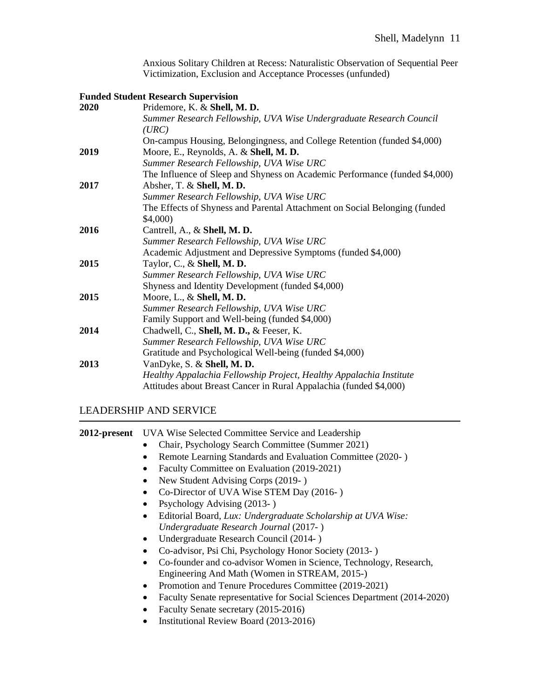Anxious Solitary Children at Recess: Naturalistic Observation of Sequential Peer Victimization, Exclusion and Acceptance Processes (unfunded)

#### **Funded Student Research Supervision**

| 2020 | Pridemore, K. & Shell, M. D.                                                |
|------|-----------------------------------------------------------------------------|
|      | Summer Research Fellowship, UVA Wise Undergraduate Research Council         |
|      | (URC)                                                                       |
|      | On-campus Housing, Belongingness, and College Retention (funded \$4,000)    |
| 2019 | Moore, E., Reynolds, A. & Shell, M. D.                                      |
|      | Summer Research Fellowship, UVA Wise URC                                    |
|      | The Influence of Sleep and Shyness on Academic Performance (funded \$4,000) |
| 2017 | Absher, T. & Shell, M. D.                                                   |
|      | Summer Research Fellowship, UVA Wise URC                                    |
|      | The Effects of Shyness and Parental Attachment on Social Belonging (funded  |
|      | \$4,000                                                                     |
| 2016 | Cantrell, A., & Shell, M. D.                                                |
|      | Summer Research Fellowship, UVA Wise URC                                    |
|      | Academic Adjustment and Depressive Symptoms (funded \$4,000)                |
| 2015 | Taylor, C., & Shell, M. D.                                                  |
|      | Summer Research Fellowship, UVA Wise URC                                    |
|      | Shyness and Identity Development (funded \$4,000)                           |
| 2015 | Moore, L., $\&$ Shell, M. D.                                                |
|      | Summer Research Fellowship, UVA Wise URC                                    |
|      | Family Support and Well-being (funded \$4,000)                              |
| 2014 | Chadwell, C., Shell, M. D., & Feeser, K.                                    |
|      | Summer Research Fellowship, UVA Wise URC                                    |
|      | Gratitude and Psychological Well-being (funded \$4,000)                     |
| 2013 | VanDyke, S. & Shell, M. D.                                                  |
|      | Healthy Appalachia Fellowship Project, Healthy Appalachia Institute         |
|      | Attitudes about Breast Cancer in Rural Appalachia (funded \$4,000)          |

## LEADERSHIP AND SERVICE

#### **2012-present** UVA Wise Selected Committee Service and Leadership

- Chair, Psychology Search Committee (Summer 2021)
- Remote Learning Standards and Evaluation Committee (2020-)
- Faculty Committee on Evaluation (2019-2021)
- New Student Advising Corps (2019-)
- Co-Director of UVA Wise STEM Day (2016- )
- Psychology Advising (2013-)
- Editorial Board, *Lux: Undergraduate Scholarship at UVA Wise: Undergraduate Research Journal* (2017- )
- Undergraduate Research Council (2014-)
- Co-advisor, Psi Chi, Psychology Honor Society (2013-)
- Co-founder and co-advisor Women in Science, Technology, Research, Engineering And Math (Women in STREAM, 2015-)
- Promotion and Tenure Procedures Committee (2019-2021)
- Faculty Senate representative for Social Sciences Department (2014-2020)
- Faculty Senate secretary (2015-2016)
- Institutional Review Board (2013-2016)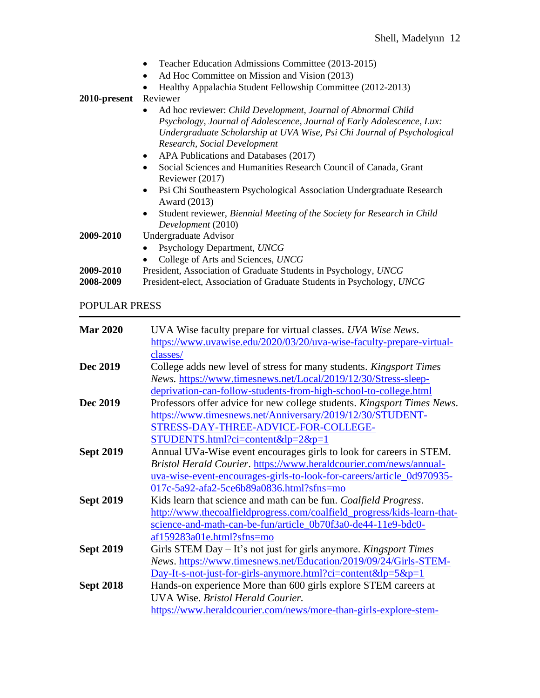- Teacher Education Admissions Committee (2013-2015)
- Ad Hoc Committee on Mission and Vision (2013)
- Healthy Appalachia Student Fellowship Committee (2012-2013)

# **2010-present** Reviewer

|           | Ad hoc reviewer: Child Development, Journal of Abnormal Child<br>$\bullet$                                            |
|-----------|-----------------------------------------------------------------------------------------------------------------------|
|           | Psychology, Journal of Adolescence, Journal of Early Adolescence, Lux:                                                |
|           | Undergraduate Scholarship at UVA Wise, Psi Chi Journal of Psychological                                               |
|           | Research, Social Development                                                                                          |
|           | APA Publications and Databases (2017)<br>$\bullet$                                                                    |
|           | Social Sciences and Humanities Research Council of Canada, Grant<br>$\bullet$                                         |
|           | Reviewer (2017)                                                                                                       |
|           | Psi Chi Southeastern Psychological Association Undergraduate Research<br>$\bullet$                                    |
|           | Award (2013)                                                                                                          |
|           | Student reviewer, Biennial Meeting of the Society for Research in Child<br>$\bullet$                                  |
|           | Development (2010)                                                                                                    |
| 2009-2010 | Undergraduate Advisor                                                                                                 |
|           | Psychology Department, UNCG                                                                                           |
|           | College of Arts and Sciences, UNCG                                                                                    |
| AAAA AA4A | $\mathbf{1}$ . $\mathbf{1}$ , $\mathbf{1}$ , $\mathbf{1}$ , $\mathbf{1}$ , $\mathbf{1}$ , $\mathbf{1}$ , $\mathbf{1}$ |

- **2009-2010** President, Association of Graduate Students in Psychology, *UNCG*
- **2008-2009** President-elect, Association of Graduate Students in Psychology, *UNCG*

# POPULAR PRESS

| <b>Mar 2020</b>  | UVA Wise faculty prepare for virtual classes. UVA Wise News.                |
|------------------|-----------------------------------------------------------------------------|
|                  | https://www.uvawise.edu/2020/03/20/uva-wise-faculty-prepare-virtual-        |
|                  | classes/                                                                    |
| Dec 2019         | College adds new level of stress for many students. <i>Kingsport Times</i>  |
|                  | News. https://www.timesnews.net/Local/2019/12/30/Stress-sleep-              |
|                  | deprivation-can-follow-students-from-high-school-to-college.html            |
| Dec 2019         | Professors offer advice for new college students. Kingsport Times News.     |
|                  | https://www.timesnews.net/Anniversary/2019/12/30/STUDENT-                   |
|                  | STRESS-DAY-THREE-ADVICE-FOR-COLLEGE-                                        |
|                  | $STUDENTS.html?ci=content&lp=2&p=1$                                         |
| <b>Sept 2019</b> | Annual UVa-Wise event encourages girls to look for careers in STEM.         |
|                  | Bristol Herald Courier. https://www.heraldcourier.com/news/annual-          |
|                  | uva-wise-event-encourages-girls-to-look-for-careers/article_0d970935-       |
|                  | 017c-5a92-afa2-5ce6b89a0836.html?sfns=mo                                    |
| <b>Sept 2019</b> | Kids learn that science and math can be fun. Coalfield Progress.            |
|                  | http://www.thecoalfieldprogress.com/coalfield_progress/kids-learn-that-     |
|                  | science-and-math-can-be-fun/article_0b70f3a0-de44-11e9-bdc0-                |
|                  | af159283a01e.html?sfns=mo                                                   |
| <b>Sept 2019</b> | Girls STEM Day – It's not just for girls anymore. <i>Kingsport Times</i>    |
|                  | News. https://www.timesnews.net/Education/2019/09/24/Girls-STEM-            |
|                  | <u>Day-It-s-not-just-for-girls-anymore.html?ci=content&amp;lp=5&amp;p=1</u> |
| <b>Sept 2018</b> | Hands-on experience More than 600 girls explore STEM careers at             |
|                  | <b>UVA Wise. Bristol Herald Courier.</b>                                    |
|                  | https://www.heraldcourier.com/news/more-than-girls-explore-stem-            |
|                  |                                                                             |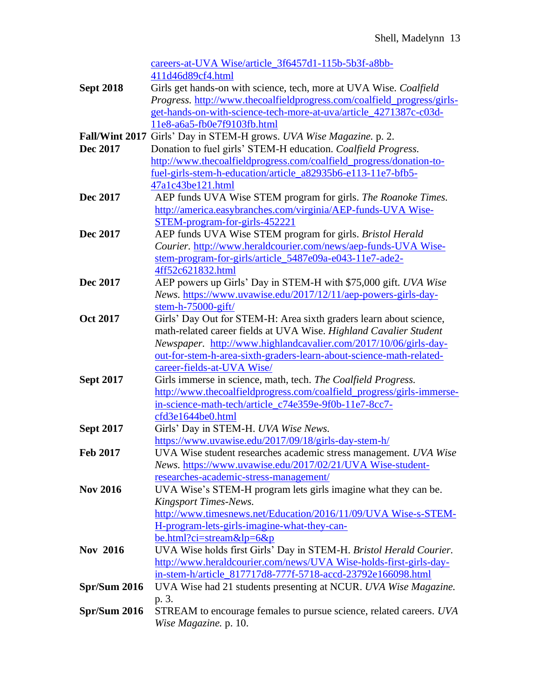|                     | careers-at-UVA Wise/article_3f6457d1-115b-5b3f-a8bb-                                                                           |
|---------------------|--------------------------------------------------------------------------------------------------------------------------------|
|                     | 411d46d89cf4.html                                                                                                              |
| <b>Sept 2018</b>    | Girls get hands-on with science, tech, more at UVA Wise. Coalfield                                                             |
|                     | <i>Progress.</i> http://www.thecoalfieldprogress.com/coalfield_progress/girls-                                                 |
|                     | get-hands-on-with-science-tech-more-at-uva/article_4271387c-c03d-                                                              |
|                     | 11e8-a6a5-fb0e7f9103fb.html                                                                                                    |
|                     | Fall/Wint 2017 Girls' Day in STEM-H grows. UVA Wise Magazine. p. 2.                                                            |
| Dec 2017            | Donation to fuel girls' STEM-H education. Coalfield Progress.                                                                  |
|                     | http://www.thecoalfieldprogress.com/coalfield_progress/donation-to-                                                            |
|                     | fuel-girls-stem-h-education/article_a82935b6-e113-11e7-bfb5-                                                                   |
|                     | 47a1c43be121.html                                                                                                              |
| Dec 2017            | AEP funds UVA Wise STEM program for girls. The Roanoke Times.                                                                  |
|                     | http://america.easybranches.com/virginia/AEP-funds-UVA Wise-                                                                   |
|                     | STEM-program-for-girls-452221                                                                                                  |
| Dec 2017            | AEP funds UVA Wise STEM program for girls. Bristol Herald                                                                      |
|                     | Courier. http://www.heraldcourier.com/news/aep-funds-UVA Wise-                                                                 |
|                     | stem-program-for-girls/article_5487e09a-e043-11e7-ade2-                                                                        |
|                     | 4ff52c621832.html                                                                                                              |
| Dec 2017            | AEP powers up Girls' Day in STEM-H with \$75,000 gift. UVA Wise                                                                |
|                     | News. https://www.uvawise.edu/2017/12/11/aep-powers-girls-day-                                                                 |
|                     | $stem-h-75000-gift/$                                                                                                           |
| <b>Oct 2017</b>     | Girls' Day Out for STEM-H: Area sixth graders learn about science,                                                             |
|                     | math-related career fields at UVA Wise. Highland Cavalier Student                                                              |
|                     | Newspaper. http://www.highlandcavalier.com/2017/10/06/girls-day-                                                               |
|                     | out-for-stem-h-area-sixth-graders-learn-about-science-math-related-                                                            |
|                     | career-fields-at-UVA Wise/                                                                                                     |
| <b>Sept 2017</b>    | Girls immerse in science, math, tech. The Coalfield Progress.                                                                  |
|                     | http://www.thecoalfieldprogress.com/coalfield_progress/girls-immerse-                                                          |
|                     | in-science-math-tech/article_c74e359e-9f0b-11e7-8cc7-                                                                          |
|                     | cfd3e1644be0.html                                                                                                              |
| <b>Sept 2017</b>    | Girls' Day in STEM-H. UVA Wise News.                                                                                           |
|                     | https://www.uvawise.edu/2017/09/18/girls-day-stem-h/                                                                           |
| <b>Feb 2017</b>     | UVA Wise student researches academic stress management. UVA Wise                                                               |
|                     | News. https://www.uvawise.edu/2017/02/21/UVA Wise-student-                                                                     |
|                     | researches-academic-stress-management/                                                                                         |
| <b>Nov 2016</b>     | UVA Wise's STEM-H program lets girls imagine what they can be.                                                                 |
|                     | Kingsport Times-News.                                                                                                          |
|                     | http://www.timesnews.net/Education/2016/11/09/UVA Wise-s-STEM-                                                                 |
|                     | H-program-lets-girls-imagine-what-they-can-                                                                                    |
| <b>Nov 2016</b>     | be.html?ci=stream&lp= $6&p$                                                                                                    |
|                     | UVA Wise holds first Girls' Day in STEM-H. Bristol Herald Courier.                                                             |
|                     | http://www.heraldcourier.com/news/UVA Wise-holds-first-girls-day-                                                              |
| Spr/Sum 2016        | in-stem-h/article_817717d8-777f-5718-accd-23792e166098.html<br>UVA Wise had 21 students presenting at NCUR. UVA Wise Magazine. |
|                     | p. 3.                                                                                                                          |
| <b>Spr/Sum 2016</b> | STREAM to encourage females to pursue science, related careers. UVA                                                            |
|                     | Wise Magazine. p. 10.                                                                                                          |
|                     |                                                                                                                                |